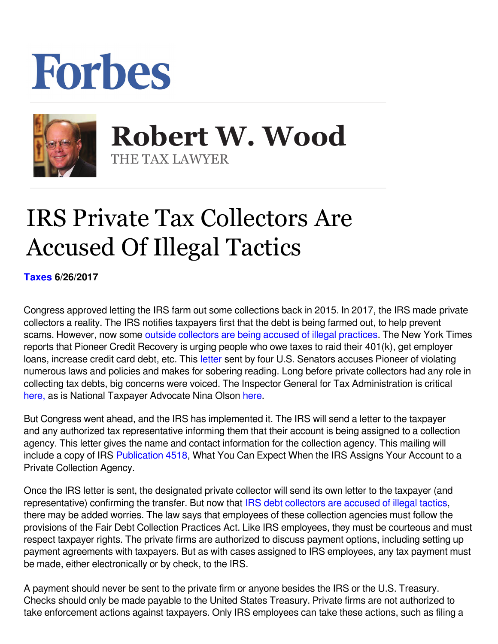## **Forbes**



 **Robert W. Wood** THE TAX LAWYER

## IRS Private Tax Collectors Are Accused Of Illegal Tactics

**[Taxes](https://www.forbes.com/taxes) 6/26/2017** 

Congress approved letting the IRS farm out some collections back in 2015. In 2017, the IRS made private collectors a reality. The IRS notifies taxpayers first that the debt is being farmed out, to help prevent scams. However, now some [outside collectors are being accused of illegal practices.](https://www.nytimes.com/2017/06/23/business/dealbook/irs-private-collectors.html) The New York Times reports that Pioneer Credit Recovery is urging people who owe taxes to raid their 401(k), get employer loans, increase credit card debt, etc. This letter sent by four U.S. Senators accuses Pioneer of violating numerous laws and policies and makes for sobering reading. Long before private collectors had any role in collecting tax debts, big concerns were voiced. The Inspector General for Tax Administration is critical [here,](https://www.treasury.gov/tigta/congress/congress_05232017.pdf) as is National Taxpayer Advocate Nina Olson here.

But Congress went ahead, and the IRS has implemented it. The IRS will send a letter to the taxpayer and any authorized tax representative informing them that their account is being assigned to a collection agency. This letter gives the name and contact information for the collection agency. This mailing will include a copy of IRS [Publication 4518](https://www.irs.gov/pub/irs-pdf/p4518.pdf), What You Can Expect When the IRS Assigns Your Account to a Private Collection Agency.

Once the IRS letter is sent, the designated private collector will send its own letter to the taxpayer (and representative) confirming the transfer. But now that [IRS debt collectors are accused of illegal tactics](http://www.seattletimes.com/business/irs-debt-collectors-accused-of-illegal-tactics/), there may be added worries. The law says that employees of these collection agencies must follow the provisions of the Fair Debt Collection Practices Act. Like IRS employees, they must be courteous and must respect taxpayer rights. The private firms are authorized to discuss payment options, including setting up payment agreements with taxpayers. But as with cases assigned to IRS employees, any tax payment must be made, either electronically or by check, to the IRS.

A payment should never be sent to the private firm or anyone besides the IRS or the U.S. Treasury. Checks should only be made payable to the United States Treasury. Private firms are not authorized to take enforcement actions against taxpayers. Only IRS employees can take these actions, such as filing a